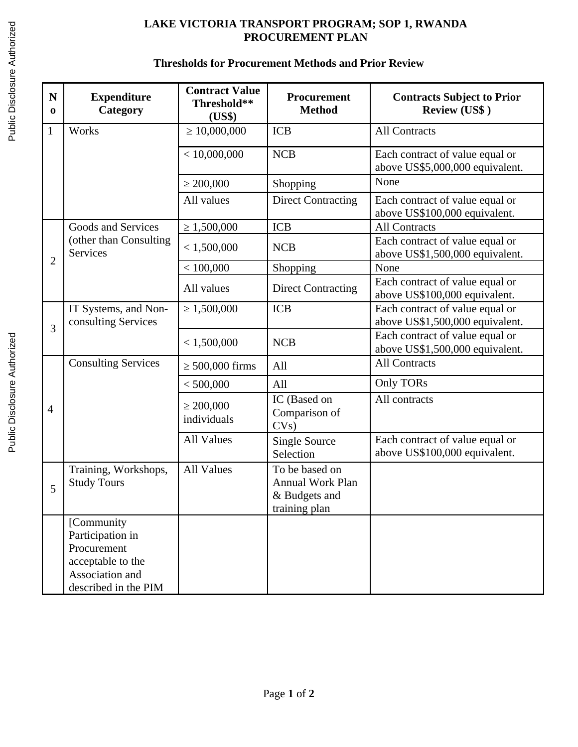## **LAKE VICTORIA TRANSPORT PROGRAM; SOP 1, RWANDA PROCUREMENT PLAN**

## **Thresholds for Procurement Methods and Prior Review**

| $\mathbf N$<br>0 | <b>Expenditure</b><br>Category                                                                                | <b>Contract Value</b><br>Threshold**<br>(US\$) | Procurement<br><b>Method</b>                                                | <b>Contracts Subject to Prior</b><br><b>Review (US\$)</b>          |
|------------------|---------------------------------------------------------------------------------------------------------------|------------------------------------------------|-----------------------------------------------------------------------------|--------------------------------------------------------------------|
| $\mathbf{1}$     | Works                                                                                                         | $\geq 10,000,000$                              | <b>ICB</b>                                                                  | <b>All Contracts</b>                                               |
|                  |                                                                                                               | $<$ 10,000,000                                 | NCB                                                                         | Each contract of value equal or<br>above US\$5,000,000 equivalent. |
|                  |                                                                                                               | $\geq 200,000$                                 | Shopping                                                                    | None                                                               |
|                  |                                                                                                               | All values                                     | <b>Direct Contracting</b>                                                   | Each contract of value equal or<br>above US\$100,000 equivalent.   |
|                  | <b>Goods and Services</b>                                                                                     | $\geq 1,500,000$                               | <b>ICB</b>                                                                  | <b>All Contracts</b>                                               |
| $\overline{2}$   | (other than Consulting<br><b>Services</b>                                                                     | < 1,500,000                                    | <b>NCB</b>                                                                  | Each contract of value equal or<br>above US\$1,500,000 equivalent. |
|                  |                                                                                                               | < 100,000                                      | Shopping                                                                    | None                                                               |
|                  |                                                                                                               | All values                                     | <b>Direct Contracting</b>                                                   | Each contract of value equal or<br>above US\$100,000 equivalent.   |
| 3                | IT Systems, and Non-<br>consulting Services                                                                   | $\geq 1,500,000$                               | <b>ICB</b>                                                                  | Each contract of value equal or<br>above US\$1,500,000 equivalent. |
|                  |                                                                                                               | < 1,500,000                                    | <b>NCB</b>                                                                  | Each contract of value equal or<br>above US\$1,500,000 equivalent. |
|                  | <b>Consulting Services</b>                                                                                    | $\geq$ 500,000 firms                           | All                                                                         | <b>All Contracts</b>                                               |
|                  |                                                                                                               | < 500,000                                      | All                                                                         | Only TORs                                                          |
| $\overline{4}$   |                                                                                                               | $\geq 200,000$<br>individuals                  | IC (Based on<br>Comparison of<br>CVs)                                       | All contracts                                                      |
|                  |                                                                                                               | <b>All Values</b>                              | <b>Single Source</b><br>Selection                                           | Each contract of value equal or<br>above US\$100,000 equivalent.   |
| 5                | Training, Workshops,<br><b>Study Tours</b>                                                                    | <b>All Values</b>                              | To be based on<br><b>Annual Work Plan</b><br>& Budgets and<br>training plan |                                                                    |
|                  | [Community<br>Participation in<br>Procurement<br>acceptable to the<br>Association and<br>described in the PIM |                                                |                                                                             |                                                                    |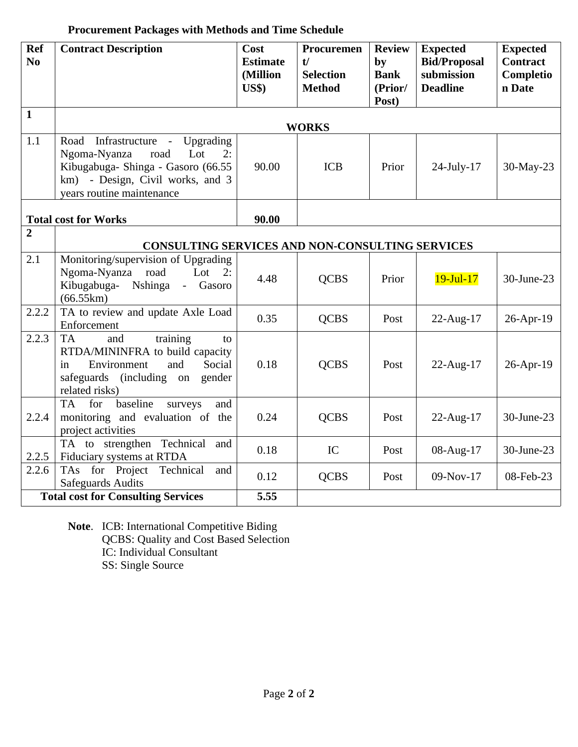## **Procurement Packages with Methods and Time Schedule**

| Ref<br>N <sub>0</sub> | <b>Contract Description</b>                                                                                                                                                 | Cost<br><b>Estimate</b><br>(Million<br><b>US\$)</b> | Procuremen<br>t/<br><b>Selection</b><br><b>Method</b> | <b>Review</b><br>by<br><b>Bank</b><br>(Prior/<br>Post) | <b>Expected</b><br><b>Bid/Proposal</b><br>submission<br><b>Deadline</b> | <b>Expected</b><br><b>Contract</b><br>Completio<br>n Date |
|-----------------------|-----------------------------------------------------------------------------------------------------------------------------------------------------------------------------|-----------------------------------------------------|-------------------------------------------------------|--------------------------------------------------------|-------------------------------------------------------------------------|-----------------------------------------------------------|
| $\mathbf{1}$          |                                                                                                                                                                             |                                                     | <b>WORKS</b>                                          |                                                        |                                                                         |                                                           |
| 1.1                   | Road Infrastructure - Upgrading<br>Ngoma-Nyanza<br>Lot<br>road<br>2:<br>Kibugabuga- Shinga - Gasoro (66.55<br>km) - Design, Civil works, and 3<br>years routine maintenance | 90.00                                               | <b>ICB</b>                                            | Prior                                                  | 24-July-17                                                              | 30-May-23                                                 |
|                       | <b>Total cost for Works</b>                                                                                                                                                 | 90.00                                               |                                                       |                                                        |                                                                         |                                                           |
| $\overline{2}$        | <b>CONSULTING SERVICES AND NON-CONSULTING SERVICES</b>                                                                                                                      |                                                     |                                                       |                                                        |                                                                         |                                                           |
| 2.1                   | Monitoring/supervision of Upgrading<br>Ngoma-Nyanza<br>road<br>Lot $2:$<br>Kibugabuga-<br>Nshinga<br>- Gasoro<br>(66.55km)                                                  | 4.48                                                | <b>QCBS</b>                                           | Prior                                                  | $19-Jul-17$                                                             | 30-June-23                                                |
| 2.2.2                 | TA to review and update Axle Load<br>Enforcement                                                                                                                            | 0.35                                                | <b>QCBS</b>                                           | Post                                                   | 22-Aug-17                                                               | 26-Apr-19                                                 |
| 2.2.3                 | training<br><b>TA</b><br>and<br>to<br>RTDA/MININFRA to build capacity<br>Social<br>Environment<br>and<br>in<br>safeguards (including<br>gender<br>on<br>related risks)      | 0.18                                                | <b>QCBS</b>                                           | Post                                                   | 22-Aug-17                                                               | 26-Apr-19                                                 |
| 2.2.4                 | baseline<br><b>TA</b><br>for<br>and<br>surveys<br>monitoring and evaluation of the<br>project activities                                                                    | 0.24                                                | <b>QCBS</b>                                           | Post                                                   | 22-Aug-17                                                               | 30-June-23                                                |
| 2.2.5                 | TA to strengthen Technical<br>and<br>Fiduciary systems at RTDA                                                                                                              | 0.18                                                | IC                                                    | Post                                                   | 08-Aug-17                                                               | 30-June-23                                                |
| 2.2.6                 | TAs for Project<br>Technical<br>and<br><b>Safeguards Audits</b>                                                                                                             | 0.12                                                | <b>QCBS</b>                                           | Post                                                   | 09-Nov-17                                                               | 08-Feb-23                                                 |
|                       | <b>Total cost for Consulting Services</b>                                                                                                                                   | 5.55                                                |                                                       |                                                        |                                                                         |                                                           |

**Note**. ICB: International Competitive Biding QCBS: Quality and Cost Based Selection IC: Individual Consultant SS: Single Source